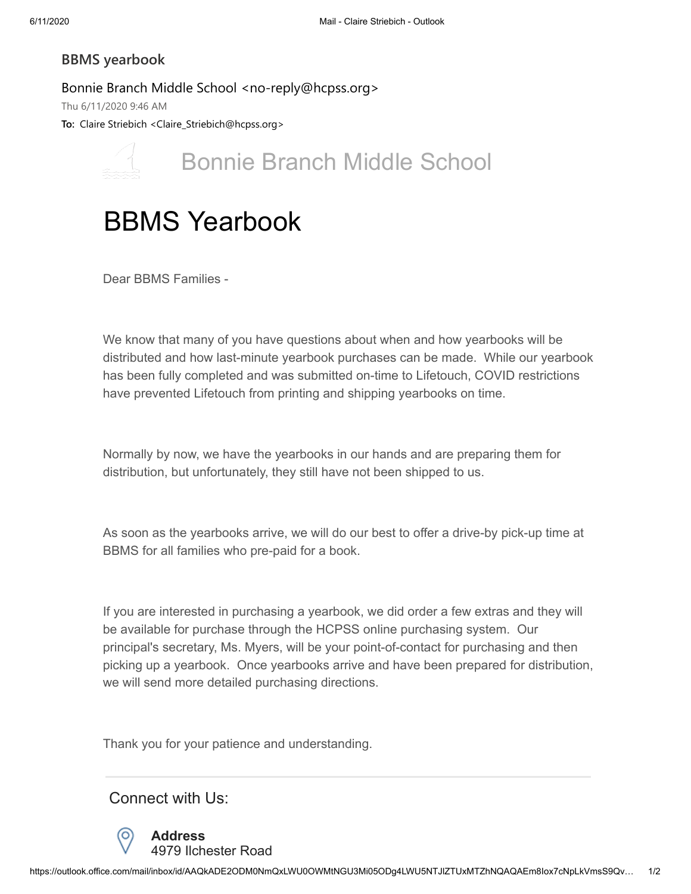## **BBMS yearbook**

Bonnie Branch Middle School <no-reply@hcpss.org> Thu 6/11/2020 9:46 AM

**To:** Claire Striebich <Claire\_Striebich@hcpss.org>



Bonnie Branch Middle School

## BBMS Yearbook

Dear BBMS Families -

We know that many of you have questions about when and how yearbooks will be distributed and how last-minute yearbook purchases can be made. While our yearbook has been fully completed and was submitted on-time to Lifetouch, COVID restrictions have prevented Lifetouch from printing and shipping yearbooks on time.

Normally by now, we have the yearbooks in our hands and are preparing them for distribution, but unfortunately, they still have not been shipped to us.

As soon as the yearbooks arrive, we will do our best to offer a drive-by pick-up time at BBMS for all families who pre-paid for a book.

If you are interested in purchasing a yearbook, we did order a few extras and they will be available for purchase through the HCPSS online purchasing system. Our principal's secretary, Ms. Myers, will be your point-of-contact for purchasing and then picking up a yearbook. Once yearbooks arrive and have been prepared for distribution, we will send more detailed purchasing directions.

Thank you for your patience and understanding.

Connect with Us:



**Address** 4979 Ilchester Road